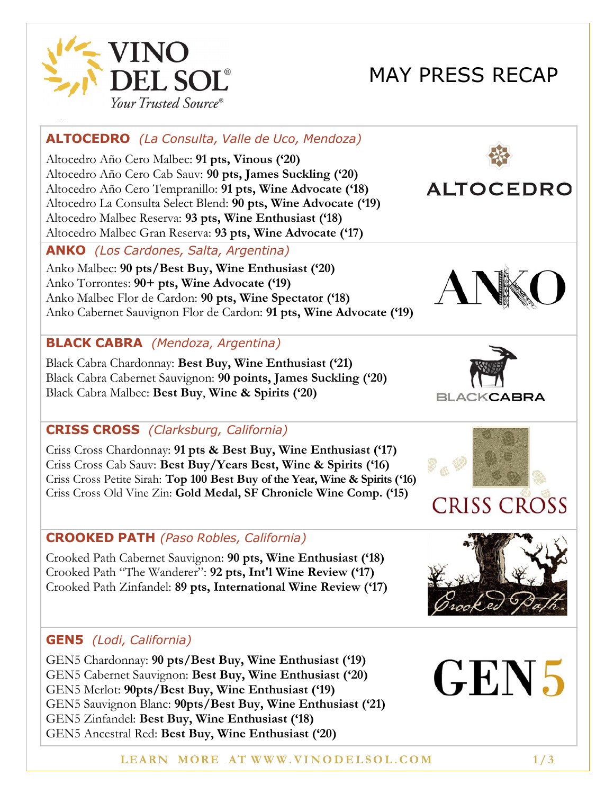

# MAY PRESS RECAP

# **ALTOCEDRO** *(La Consulta, Valle de Uco, Mendoza)*

Altocedro Año Cero Malbec: **91 pts, Vinous ('20)** Altocedro Año Cero Cab Sauv: **90 pts, James Suckling ('20)** Altocedro Año Cero Tempranillo: **91 pts, Wine Advocate ('18)** Altocedro La Consulta Select Blend: **90 pts, Wine Advocate ('19)** Altocedro Malbec Reserva: **93 pts, Wine Enthusiast ('18)** Altocedro Malbec Gran Reserva: **93 pts, Wine Advocate ('17)**

#### **ANKO** *(Los Cardones, Salta, Argentina)*

Anko Malbec: **90 pts/Best Buy, Wine Enthusiast ('20)** Anko Torrontes: **90+ pts, Wine Advocate ('19)** Anko Malbec Flor de Cardon: **90 pts, Wine Spectator ('18)** Anko Cabernet Sauvignon Flor de Cardon: **91 pts, Wine Advocate ('19)**

#### **BLACK CABRA** *(Mendoza, Argentina)*

Black Cabra Chardonnay: **Best Buy, Wine Enthusiast ('21)** Black Cabra Cabernet Sauvignon: **90 points, James Suckling ('20)** Black Cabra Malbec: **Best Buy**, **Wine & Spirits ('20)**

#### **CRISS CROSS** *(Clarksburg, California)*

Criss Cross Chardonnay: **91 pts & Best Buy, Wine Enthusiast ('17)** Criss Cross Cab Sauv: **Best Buy/Years Best, Wine & Spirits ('16)** Criss Cross Petite Sirah: **Top 100 Best Buy of the Year, Wine & Spirits ('16)** Criss Cross Old Vine Zin: **Gold Medal, SF Chronicle Wine Comp. ('15)**

#### **CROOKED PATH** *(Paso Robles, California)*

Crooked Path Cabernet Sauvignon: **90 pts, Wine Enthusiast ('18)** Crooked Path "The Wanderer": **92 pts, Int'l Wine Review ('17)** Crooked Path Zinfandel: **89 pts, International Wine Review ('17)**

#### **GEN5** *(Lodi, California)*

GEN5 Chardonnay: **90 pts/Best Buy, Wine Enthusiast ('19)** GEN5 Cabernet Sauvignon: **Best Buy, Wine Enthusiast ('20)** GEN5 Merlot: **90pts/Best Buy, Wine Enthusiast ('19)** GEN5 Sauvignon Blanc: **90pts/Best Buy, Wine Enthusiast ('21)** GEN5 Zinfandel: **Best Buy, Wine Enthusiast ('18)** GEN5 Ancestral Red: **Best Buy, Wine Enthusiast ('20)**



**ALTOCEDRO** 





# **CRISS CROSS**



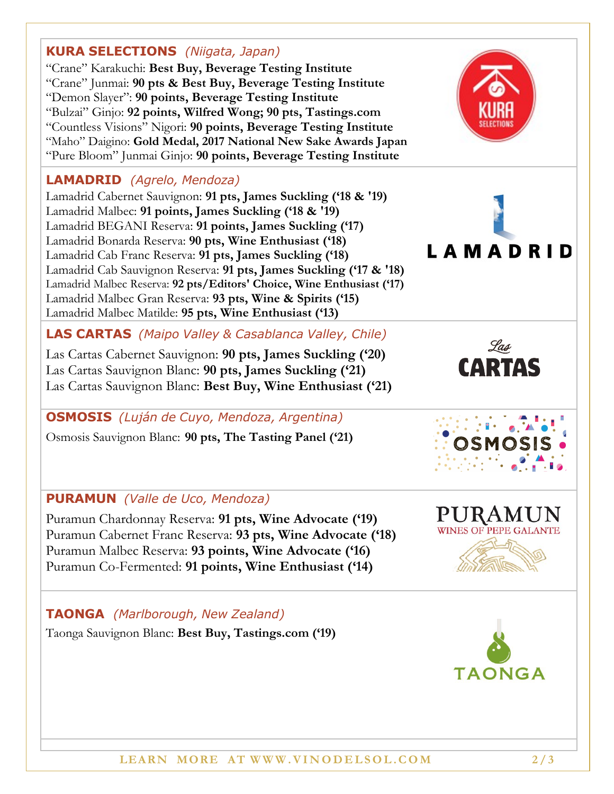# Lamadrid Cabernet Sauvignon: **91 pts, James Suckling ('18 & '19)**

"Crane" Karakuchi: **Best Buy, Beverage Testing Institute**

"Demon Slayer": **90 points, Beverage Testing Institute**

"Crane" Junmai: **90 pts & Best Buy, Beverage Testing Institute**

"Bulzai" Ginjo: **92 points, Wilfred Wong; 90 pts, Tastings.com**  "Countless Visions" Nigori: **90 points, Beverage Testing Institute** "Maho" Daigino: **Gold Medal, 2017 National New Sake Awards Japan** "Pure Bloom" Junmai Ginjo: **90 points, Beverage Testing Institute**

**KURA SELECTIONS** *(Niigata, Japan)*

**LAMADRID** *(Agrelo, Mendoza)*

Lamadrid Malbec: **91 points, James Suckling ('18 & '19)** Lamadrid BEGANI Reserva: **91 points, James Suckling ('17)** Lamadrid Bonarda Reserva: **90 pts, Wine Enthusiast ('18)** Lamadrid Cab Franc Reserva: **91 pts, James Suckling ('18)** Lamadrid Cab Sauvignon Reserva: **91 pts, James Suckling ('17 & '18)** Lamadrid Malbec Reserva: **92 pts/Editors' Choice, Wine Enthusiast ('17)** Lamadrid Malbec Gran Reserva: **93 pts, Wine & Spirits ('15)** Lamadrid Malbec Matilde: **95 pts, Wine Enthusiast ('13)**

# **LAS CARTAS** *(Maipo Valley & Casablanca Valley, Chile)*

Las Cartas Cabernet Sauvignon: **90 pts, James Suckling ('20)** Las Cartas Sauvignon Blanc: **90 pts, James Suckling ('21)** Las Cartas Sauvignon Blanc: **Best Buy, Wine Enthusiast ('21)**

## **OSMOSIS** *(Luján de Cuyo, Mendoza, Argentina)*

Osmosis Sauvignon Blanc: **90 pts, The Tasting Panel ('21)**

## **PURAMUN** *(Valle de Uco, Mendoza)*

Puramun Chardonnay Reserva: **91 pts, Wine Advocate ('19)** Puramun Cabernet Franc Reserva: **93 pts, Wine Advocate ('18)** Puramun Malbec Reserva: **93 points, Wine Advocate ('16)** Puramun Co-Fermented: **91 points, Wine Enthusiast ('14)**

## **TAONGA** *(Marlborough, New Zealand)*

Taonga Sauvignon Blanc: **Best Buy, Tastings.com ('19)**





**TAONGA** 



**LAMADRID**